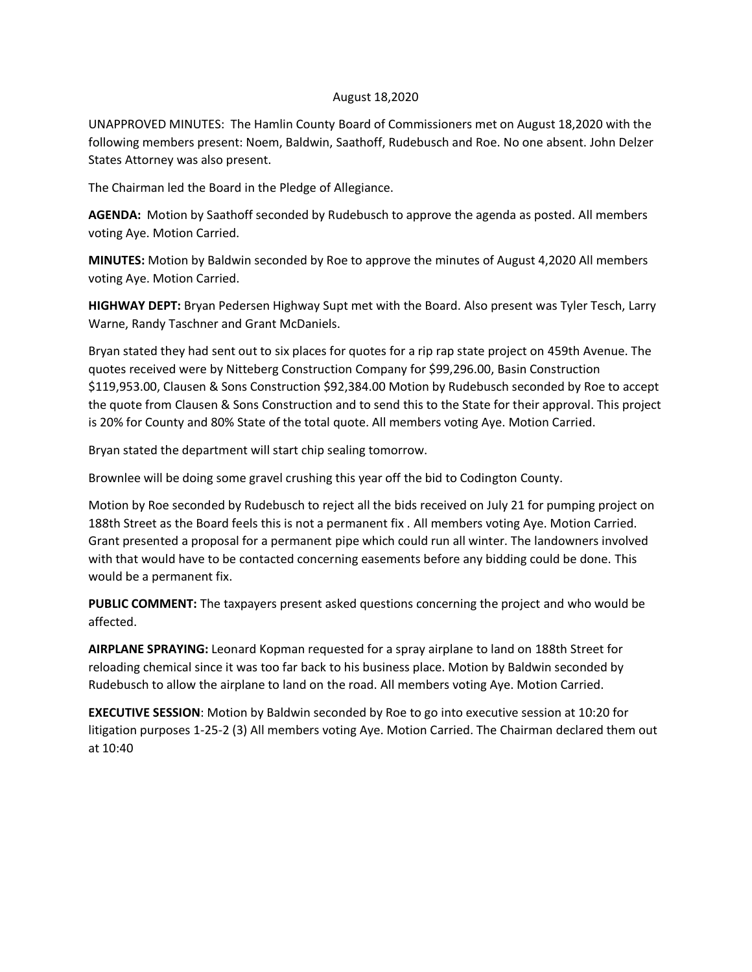## August 18,2020

UNAPPROVED MINUTES: The Hamlin County Board of Commissioners met on August 18,2020 with the following members present: Noem, Baldwin, Saathoff, Rudebusch and Roe. No one absent. John Delzer States Attorney was also present.

The Chairman led the Board in the Pledge of Allegiance.

**AGENDA:** Motion by Saathoff seconded by Rudebusch to approve the agenda as posted. All members voting Aye. Motion Carried.

**MINUTES:** Motion by Baldwin seconded by Roe to approve the minutes of August 4,2020 All members voting Aye. Motion Carried.

**HIGHWAY DEPT:** Bryan Pedersen Highway Supt met with the Board. Also present was Tyler Tesch, Larry Warne, Randy Taschner and Grant McDaniels.

Bryan stated they had sent out to six places for quotes for a rip rap state project on 459th Avenue. The quotes received were by Nitteberg Construction Company for \$99,296.00, Basin Construction \$119,953.00, Clausen & Sons Construction \$92,384.00 Motion by Rudebusch seconded by Roe to accept the quote from Clausen & Sons Construction and to send this to the State for their approval. This project is 20% for County and 80% State of the total quote. All members voting Aye. Motion Carried.

Bryan stated the department will start chip sealing tomorrow.

Brownlee will be doing some gravel crushing this year off the bid to Codington County.

Motion by Roe seconded by Rudebusch to reject all the bids received on July 21 for pumping project on 188th Street as the Board feels this is not a permanent fix . All members voting Aye. Motion Carried. Grant presented a proposal for a permanent pipe which could run all winter. The landowners involved with that would have to be contacted concerning easements before any bidding could be done. This would be a permanent fix.

**PUBLIC COMMENT:** The taxpayers present asked questions concerning the project and who would be affected.

**AIRPLANE SPRAYING:** Leonard Kopman requested for a spray airplane to land on 188th Street for reloading chemical since it was too far back to his business place. Motion by Baldwin seconded by Rudebusch to allow the airplane to land on the road. All members voting Aye. Motion Carried.

**EXECUTIVE SESSION**: Motion by Baldwin seconded by Roe to go into executive session at 10:20 for litigation purposes 1-25-2 (3) All members voting Aye. Motion Carried. The Chairman declared them out at 10:40